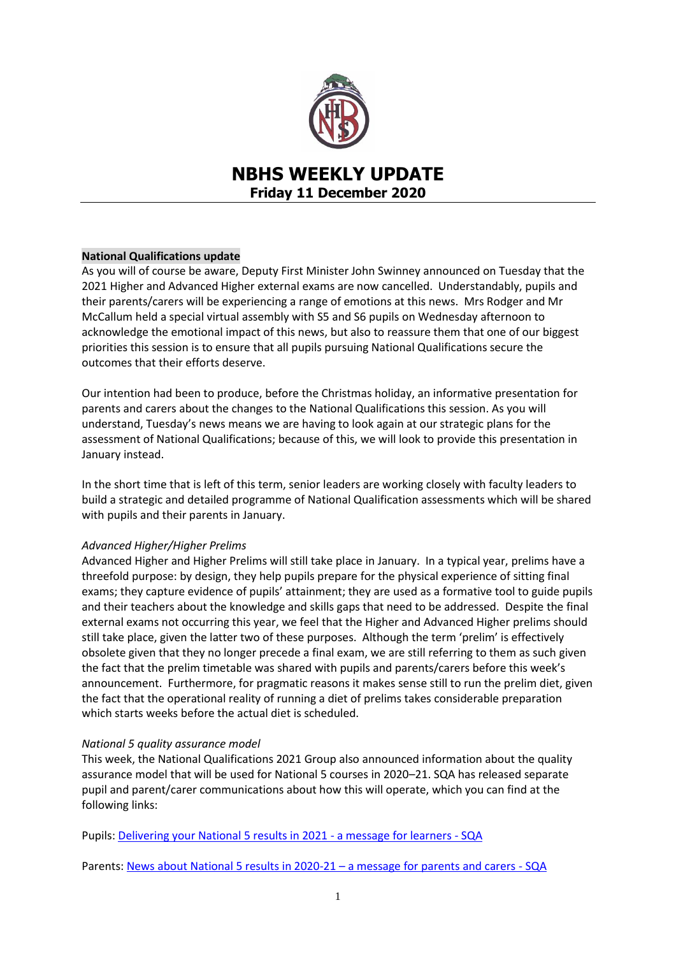

# **NBHS WEEKLY UPDATE Friday 11 December 2020**

# **National Qualifications update**

As you will of course be aware, Deputy First Minister John Swinney announced on Tuesday that the 2021 Higher and Advanced Higher external exams are now cancelled. Understandably, pupils and their parents/carers will be experiencing a range of emotions at this news. Mrs Rodger and Mr McCallum held a special virtual assembly with S5 and S6 pupils on Wednesday afternoon to acknowledge the emotional impact of this news, but also to reassure them that one of our biggest priorities this session is to ensure that all pupils pursuing National Qualifications secure the outcomes that their efforts deserve.

Our intention had been to produce, before the Christmas holiday, an informative presentation for parents and carers about the changes to the National Qualifications this session. As you will understand, Tuesday's news means we are having to look again at our strategic plans for the assessment of National Qualifications; because of this, we will look to provide this presentation in January instead.

In the short time that is left of this term, senior leaders are working closely with faculty leaders to build a strategic and detailed programme of National Qualification assessments which will be shared with pupils and their parents in January.

# *Advanced Higher/Higher Prelims*

Advanced Higher and Higher Prelims will still take place in January. In a typical year, prelims have a threefold purpose: by design, they help pupils prepare for the physical experience of sitting final exams; they capture evidence of pupils' attainment; they are used as a formative tool to guide pupils and their teachers about the knowledge and skills gaps that need to be addressed. Despite the final external exams not occurring this year, we feel that the Higher and Advanced Higher prelims should still take place, given the latter two of these purposes. Although the term 'prelim' is effectively obsolete given that they no longer precede a final exam, we are still referring to them as such given the fact that the prelim timetable was shared with pupils and parents/carers before this week's announcement. Furthermore, for pragmatic reasons it makes sense still to run the prelim diet, given the fact that the operational reality of running a diet of prelims takes considerable preparation which starts weeks before the actual diet is scheduled.

# *National 5 quality assurance model*

This week, the National Qualifications 2021 Group also announced information about the quality assurance model that will be used for National 5 courses in 2020–21. SQA has released separate pupil and parent/carer communications about how this will operate, which you can find at the following links:

Pupils: [Delivering your National 5 results in 2021 -](https://www.sqa.org.uk/sqa/96098.html?mkt_tok=eyJpIjoiT1RVeFpEQTBPVGRtWlRBMCIsInQiOiJcL1pKbnlLc2tpTU44MkgxMXMyOXRLXC91QVB4VkRja3R3NGU0YUZDVkRQSW40dlJGMWJJUFNUbXordXgwM1d2YnFHS2JmMjFvV2JkbUx6eEY2XC9KWnNwaENoenJ6QXI5V0RZMHNQSmZINUdrb2ZDVHpvalJpOGJGQm9obUhxNUxLQiJ9) a message for learners - SQA

Parents[: News about National 5 results in 2020-21](https://www.sqa.org.uk/sqa/96097.html?mkt_tok=eyJpIjoiT1RVeFpEQTBPVGRtWlRBMCIsInQiOiJcL1pKbnlLc2tpTU44MkgxMXMyOXRLXC91QVB4VkRja3R3NGU0YUZDVkRQSW40dlJGMWJJUFNUbXordXgwM1d2YnFHS2JmMjFvV2JkbUx6eEY2XC9KWnNwaENoenJ6QXI5V0RZMHNQSmZINUdrb2ZDVHpvalJpOGJGQm9obUhxNUxLQiJ9) – a message for parents and carers - SQA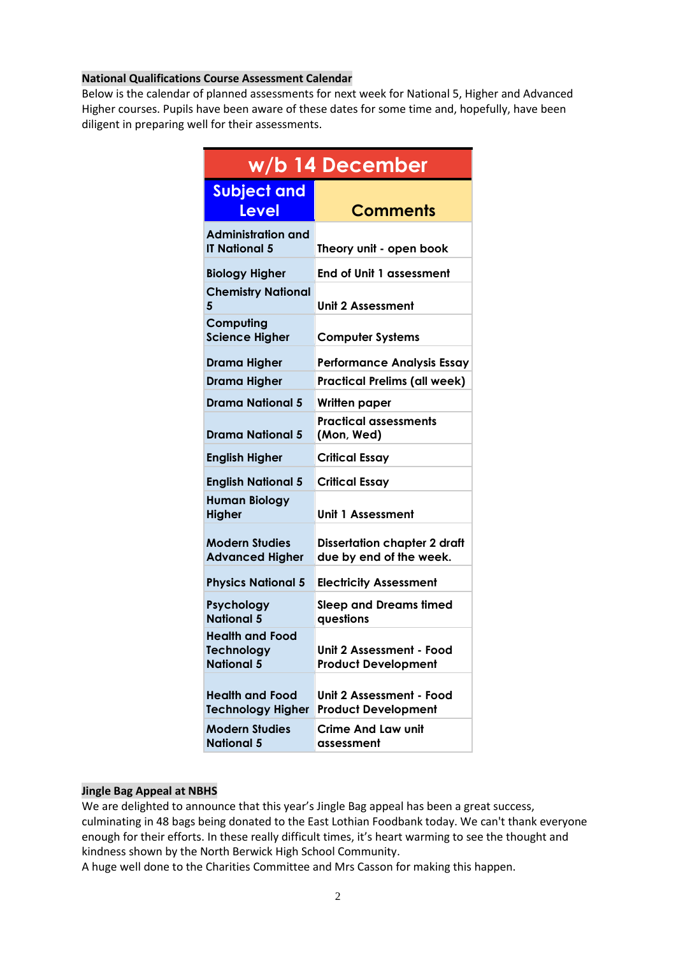# **National Qualifications Course Assessment Calendar**

Below is the calendar of planned assessments for next week for National 5, Higher and Advanced Higher courses. Pupils have been aware of these dates for some time and, hopefully, have been diligent in preparing well for their assessments.

| w/b 14 December                                                  |                                                                |
|------------------------------------------------------------------|----------------------------------------------------------------|
| <b>Subject and</b><br><b>Level</b>                               | <b>Comments</b>                                                |
| <b>Administration and</b><br><b>IT National 5</b>                | Theory unit - open book                                        |
| <b>Biology Higher</b>                                            | <b>End of Unit 1 assessment</b>                                |
| <b>Chemistry National</b><br>5                                   | Unit 2 Assessment                                              |
| Computing<br><b>Science Higher</b>                               | <b>Computer Systems</b>                                        |
| <b>Drama Higher</b>                                              | <b>Performance Analysis Essay</b>                              |
| <b>Drama Higher</b>                                              | <b>Practical Prelims (all week)</b>                            |
| Drama National 5                                                 | Written paper                                                  |
| Drama National 5                                                 | <b>Practical assessments</b><br>(Mon, Wed)                     |
| <b>English Higher</b>                                            | <b>Critical Essay</b>                                          |
| <b>English National 5</b>                                        | <b>Critical Essay</b>                                          |
| <b>Human Biology</b><br><b>Higher</b>                            | Unit 1 Assessment                                              |
| <b>Modern Studies</b><br><b>Advanced Higher</b>                  | <b>Dissertation chapter 2 draft</b><br>due by end of the week. |
| <b>Physics National 5</b>                                        | <b>Electricity Assessment</b>                                  |
| Psychology<br><b>National 5</b>                                  | <b>Sleep and Dreams timed</b><br>questions                     |
| <b>Health and Food</b><br><b>Technology</b><br><b>National 5</b> | Unit 2 Assessment - Food<br><b>Product Development</b>         |
| <b>Health and Food</b><br><b>Technology Higher</b>               | Unit 2 Assessment - Food<br><b>Product Development</b>         |
| <b>Modern Studies</b><br><b>National 5</b>                       | <b>Crime And Law unit</b><br>assessment                        |

# **Jingle Bag Appeal at NBHS**

We are delighted to announce that this year's Jingle Bag appeal has been a great success, culminating in 48 bags being donated to the East Lothian Foodbank today. We can't thank everyone enough for their efforts. In these really difficult times, it's heart warming to see the thought and kindness shown by the North Berwick High School Community.

A huge well done to the Charities Committee and Mrs Casson for making this happen.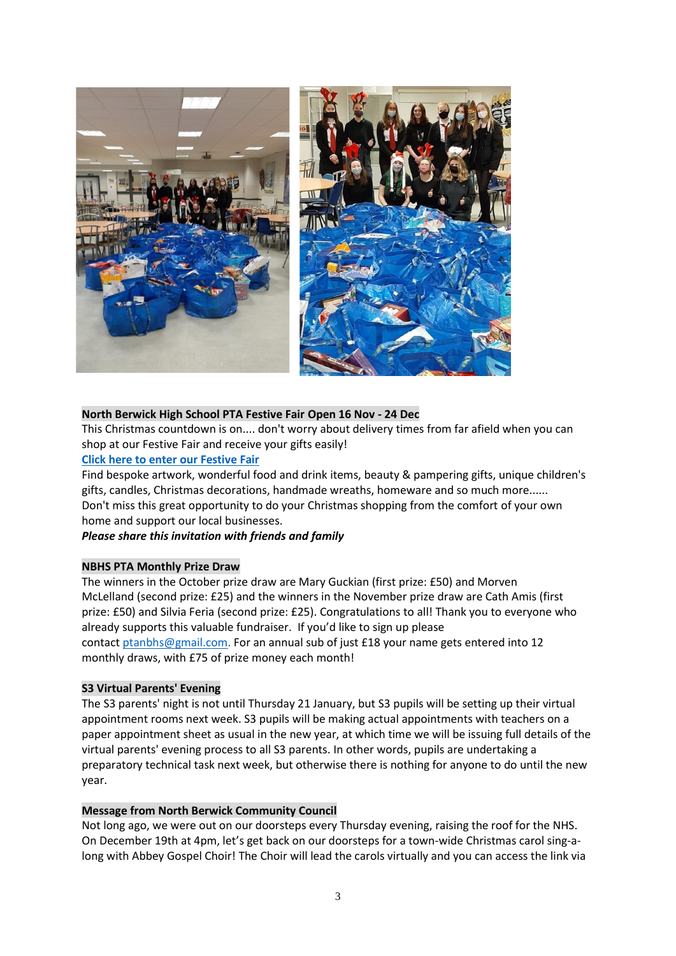

# **North Berwick High School PTA Festive Fair Open 16 Nov - 24 Dec**

This Christmas countdown is on.... don't worry about delivery times from far afield when you can shop at our Festive Fair and receive your gifts easily!

#### **[Click here to enter our Festive Fair](https://festivefair-nbhspta.org/)**

Find bespoke artwork, wonderful food and drink items, beauty & pampering gifts, unique children's gifts, candles, Christmas decorations, handmade wreaths, homeware and so much more...... Don't miss this great opportunity to do your Christmas shopping from the comfort of your own home and support our local businesses.

# *Please share this invitation with friends and family*

#### **NBHS PTA Monthly Prize Draw**

The winners in the October prize draw are Mary Guckian (first prize: £50) and Morven McLelland (second prize: £25) and the winners in the November prize draw are Cath Amis (first prize: £50) and Silvia Feria (second prize: £25). Congratulations to all! Thank you to everyone who already supports this valuable fundraiser. If you'd like to sign up please contact [ptanbhs@gmail.com.](mailto:ptanbhs@gmail.com) For an annual sub of just £18 your name gets entered into 12 monthly draws, with £75 of prize money each month!

#### **S3 Virtual Parents' Evening**

The S3 parents' night is not until Thursday 21 January, but S3 pupils will be setting up their virtual appointment rooms next week. S3 pupils will be making actual appointments with teachers on a paper appointment sheet as usual in the new year, at which time we will be issuing full details of the virtual parents' evening process to all S3 parents. In other words, pupils are undertaking a preparatory technical task next week, but otherwise there is nothing for anyone to do until the new year.

#### **Message from North Berwick Community Council**

Not long ago, we were out on our doorsteps every Thursday evening, raising the roof for the NHS. On December 19th at 4pm, let's get back on our doorsteps for a town-wide Christmas carol sing-along with Abbey Gospel Choir! The Choir will lead the carols virtually and you can access the link via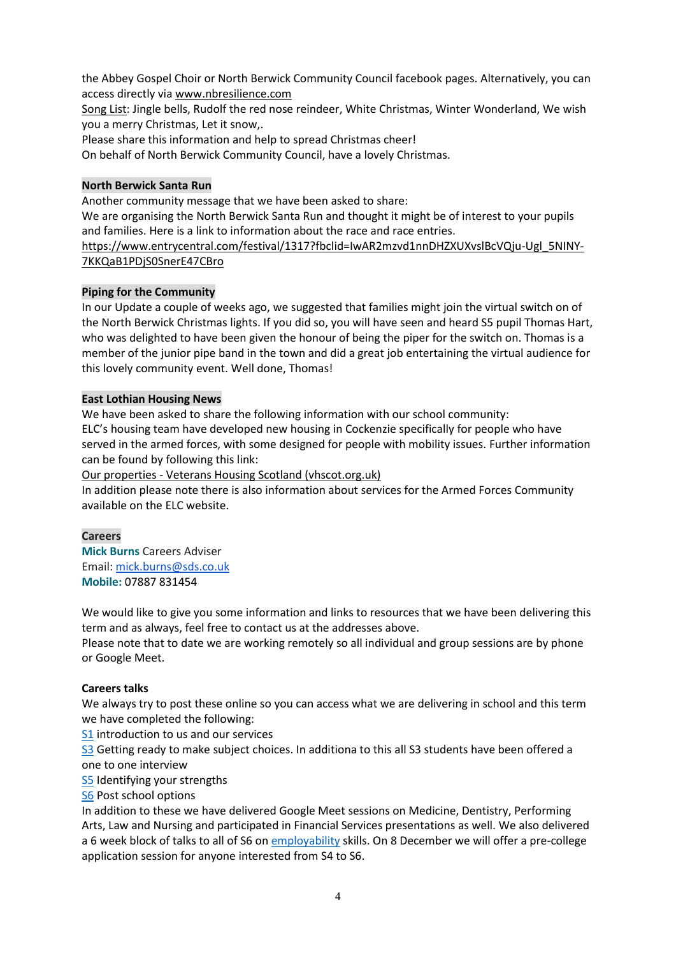the Abbey Gospel Choir or North Berwick Community Council facebook pages. Alternatively, you can access directly via [www.nbresilience.com](http://www.nbresilience.com/)

Song List: Jingle bells, Rudolf the red nose reindeer, White Christmas, Winter Wonderland, We wish you a merry Christmas, Let it snow,.

Please share this information and help to spread Christmas cheer!

On behalf of North Berwick Community Council, have a lovely Christmas.

# **North Berwick Santa Run**

Another community message that we have been asked to share:

We are organising the North Berwick Santa Run and thought it might be of interest to your pupils and families. Here is a link to information about the race and race entries.

[https://www.entrycentral.com/festival/1317?fbclid=IwAR2mzvd1nnDHZXUXvslBcVQju-Ugl\\_5NINY-](https://www.entrycentral.com/festival/1317?fbclid=IwAR2mzvd1nnDHZXUXvslBcVQju-Ugl_5NINY-7KKQaB1PDjS0SnerE47CBro)[7KKQaB1PDjS0SnerE47CBro](https://www.entrycentral.com/festival/1317?fbclid=IwAR2mzvd1nnDHZXUXvslBcVQju-Ugl_5NINY-7KKQaB1PDjS0SnerE47CBro)

# **Piping for the Community**

In our Update a couple of weeks ago, we suggested that families might join the virtual switch on of the North Berwick Christmas lights. If you did so, you will have seen and heard S5 pupil Thomas Hart, who was delighted to have been given the honour of being the piper for the switch on. Thomas is a member of the junior pipe band in the town and did a great job entertaining the virtual audience for this lovely community event. Well done, Thomas!

# **East Lothian Housing News**

We have been asked to share the following information with our school community: ELC's housing team have developed new housing in Cockenzie specifically for people who have served in the armed forces, with some designed for people with mobility issues. Further information can be found by following this link:

Our properties - [Veterans Housing Scotland \(vhscot.org.uk\)](https://www.vhscot.org.uk/applicants/properties/)

In addition please note there is also information about services for the Armed Forces Community available on the ELC website.

# **Careers**

**Mick Burns** Careers Adviser Email: [mick.burns@sds.co.uk](https://mail.elcschool.org.uk/owa/redir.aspx?C=fbGa3DGVrsUoQB2CnJP23eXwMGzxu7J1CtarT6dTOwkq_NlpJujXCA..&URL=mailto%3amick.burns%40sds.co.uk) **Mobile:** 07887 831454

We would like to give you some information and links to resources that we have been delivering this term and as always, feel free to contact us at the addresses above.

Please note that to date we are working remotely so all individual and group sessions are by phone or Google Meet.

# **Careers talks**

We always try to post these online so you can access what we are delivering in school and this term we have completed the following:

[S1](https://www.edubuzz.org/careers/2020/08/17/s1-2020/) introduction to us and our services

[S3](https://www.edubuzz.org/careers/2020/06/03/s3-june-2020/) Getting ready to make subject choices. In additiona to this all S3 students have been offered a one to one interview

[S5](https://www.edubuzz.org/careers/2020/07/28/s5-careers-talk-2020/) Identifying your strengths

# [S6](https://www.edubuzz.org/careers/2020/05/26/nbhs-s6-careers-talk-june-2020/) Post school options

In addition to these we have delivered Google Meet sessions on Medicine, Dentistry, Performing Arts, Law and Nursing and participated in Financial Services presentations as well. We also delivered a 6 week block of talks to all of S6 on [employability](https://www.edubuzz.org/careers/2020/11/10/s6-employability-sessions-2020-no-5/) skills. On 8 December we will offer a pre-college application session for anyone interested from S4 to S6.